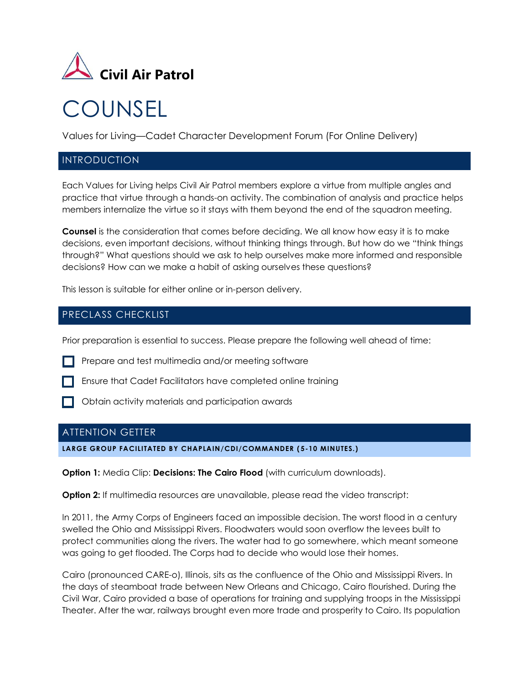

# **COUNSEL**

Values for Living—Cadet Character Development Forum (For Online Delivery)

## INTRODUCTION

Each Values for Living helps Civil Air Patrol members explore a virtue from multiple angles and practice that virtue through a hands-on activity. The combination of analysis and practice helps members internalize the virtue so it stays with them beyond the end of the squadron meeting.

**Counsel** is the consideration that comes before deciding. We all know how easy it is to make decisions, even important decisions, without thinking things through. But how do we "think things through?" What questions should we ask to help ourselves make more informed and responsible decisions? How can we make a habit of asking ourselves these questions?

This lesson is suitable for either online or in-person delivery.

## PRECLASS CHECKLIST

Prior preparation is essential to success. Please prepare the following well ahead of time:

Prepare and test multimedia and/or meeting software



**Ensure that Cadet Facilitators have completed online training** 

Obtain activity materials and participation awards

## ATTENTION GETTER

#### **LARGE GROUP FACILITATED BY CHAPLAIN/CDI/COMMANDER ( 5-10 MINUTES.)**

**Option 1:** Media Clip: **Decisions: The Cairo Flood** (with curriculum downloads).

**Option 2:** If multimedia resources are unavailable, please read the video transcript:

In 2011, the Army Corps of Engineers faced an impossible decision. The worst flood in a century swelled the Ohio and Mississippi Rivers. Floodwaters would soon overflow the levees built to protect communities along the rivers. The water had to go somewhere, which meant someone was going to get flooded. The Corps had to decide who would lose their homes.

Cairo (pronounced CARE-o), Illinois, sits as the confluence of the Ohio and Mississippi Rivers. In the days of steamboat trade between New Orleans and Chicago, Cairo flourished. During the Civil War, Cairo provided a base of operations for training and supplying troops in the Mississippi Theater. After the war, railways brought even more trade and prosperity to Cairo. Its population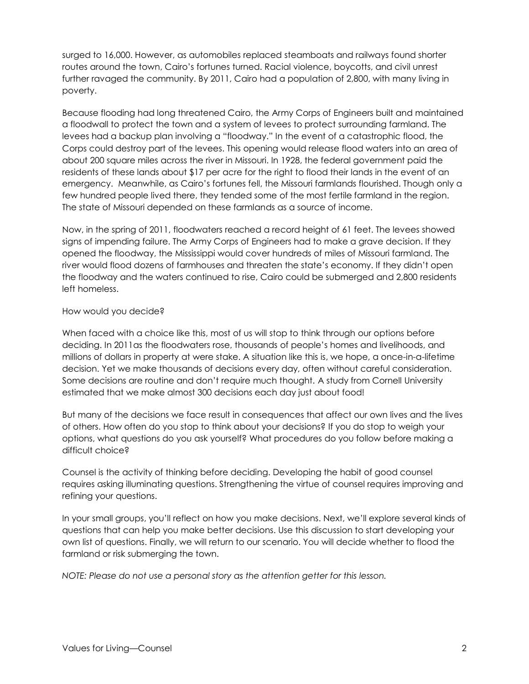surged to 16,000. However, as automobiles replaced steamboats and railways found shorter routes around the town, Cairo's fortunes turned. Racial violence, boycotts, and civil unrest further ravaged the community. By 2011, Cairo had a population of 2,800, with many living in poverty.

Because flooding had long threatened Cairo, the Army Corps of Engineers built and maintained a floodwall to protect the town and a system of levees to protect surrounding farmland. The levees had a backup plan involving a "floodway." In the event of a catastrophic flood, the Corps could destroy part of the levees. This opening would release flood waters into an area of about 200 square miles across the river in Missouri. In 1928, the federal government paid the residents of these lands about \$17 per acre for the right to flood their lands in the event of an emergency. Meanwhile, as Cairo's fortunes fell, the Missouri farmlands flourished. Though only a few hundred people lived there, they tended some of the most fertile farmland in the region. The state of Missouri depended on these farmlands as a source of income.

Now, in the spring of 2011, floodwaters reached a record height of 61 feet. The levees showed signs of impending failure. The Army Corps of Engineers had to make a grave decision. If they opened the floodway, the Mississippi would cover hundreds of miles of Missouri farmland. The river would flood dozens of farmhouses and threaten the state's economy. If they didn't open the floodway and the waters continued to rise, Cairo could be submerged and 2,800 residents left homeless.

#### How would you decide?

When faced with a choice like this, most of us will stop to think through our options before deciding. In 2011as the floodwaters rose, thousands of people's homes and livelihoods, and millions of dollars in property at were stake. A situation like this is, we hope, a once-in-a-lifetime decision. Yet we make thousands of decisions every day, often without careful consideration. Some decisions are routine and don't require much thought. A study from Cornell University estimated that we make almost 300 decisions each day just about food!

But many of the decisions we face result in consequences that affect our own lives and the lives of others. How often do you stop to think about your decisions? If you do stop to weigh your options, what questions do you ask yourself? What procedures do you follow before making a difficult choice?

Counsel is the activity of thinking before deciding. Developing the habit of good counsel requires asking illuminating questions. Strengthening the virtue of counsel requires improving and refining your questions.

In your small groups, you'll reflect on how you make decisions. Next, we'll explore several kinds of questions that can help you make better decisions. Use this discussion to start developing your own list of questions. Finally, we will return to our scenario. You will decide whether to flood the farmland or risk submerging the town.

*NOTE: Please do not use a personal story as the attention getter for this lesson.*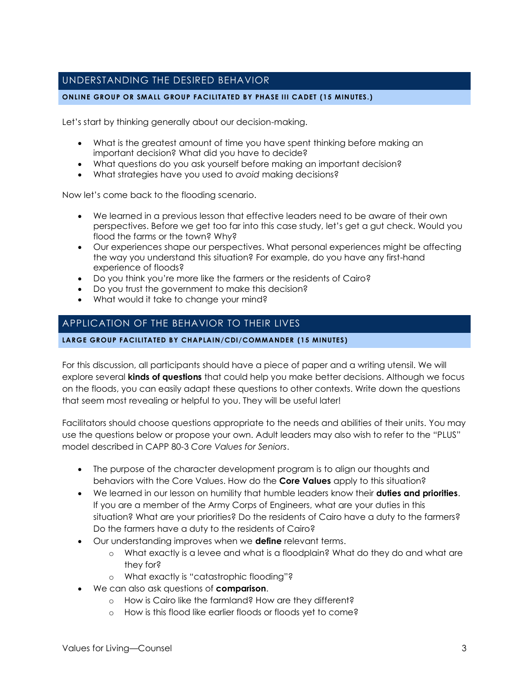## UNDERSTANDING THE DESIRED BEHAVIOR

#### **ONLINE GROUP OR SMALL GROUP FACILITATED BY PHASE III CADET (15 MINUTES.)**

Let's start by thinking generally about our decision-making.

- What is the greatest amount of time you have spent thinking before making an important decision? What did you have to decide?
- What questions do you ask yourself before making an important decision?
- What strategies have you used to *avoid* making decisions?

Now let's come back to the flooding scenario.

- We learned in a previous lesson that effective leaders need to be aware of their own perspectives. Before we get too far into this case study, let's get a gut check. Would you flood the farms or the town? Why?
- Our experiences shape our perspectives. What personal experiences might be affecting the way you understand this situation? For example, do you have any first-hand experience of floods?
- Do you think you're more like the farmers or the residents of Cairo?
- Do you trust the government to make this decision?
- What would it take to change your mind?

## APPLICATION OF THE BEHAVIOR TO THEIR LIVES

#### **LARGE GROUP FACILITATED BY CHAPLAIN/CDI/COMMANDER (15 MINUTES)**

For this discussion, all participants should have a piece of paper and a writing utensil. We will explore several **kinds of questions** that could help you make better decisions. Although we focus on the floods, you can easily adapt these questions to other contexts. Write down the questions that seem most revealing or helpful to you. They will be useful later!

Facilitators should choose questions appropriate to the needs and abilities of their units. You may use the questions below or propose your own. Adult leaders may also wish to refer to the "PLUS" model described in CAPP 80-3 *Core Values for Seniors*.

- The purpose of the character development program is to align our thoughts and behaviors with the Core Values. How do the **Core Values** apply to this situation?
- We learned in our lesson on humility that humble leaders know their **duties and priorities**. If you are a member of the Army Corps of Engineers, what are your duties in this situation? What are your priorities? Do the residents of Cairo have a duty to the farmers? Do the farmers have a duty to the residents of Cairo?
- Our understanding improves when we **define** relevant terms.
	- o What exactly is a levee and what is a floodplain? What do they do and what are they for?
	- o What exactly is "catastrophic flooding"?
- We can also ask questions of **comparison**.
	- o How is Cairo like the farmland? How are they different?
	- o How is this flood like earlier floods or floods yet to come?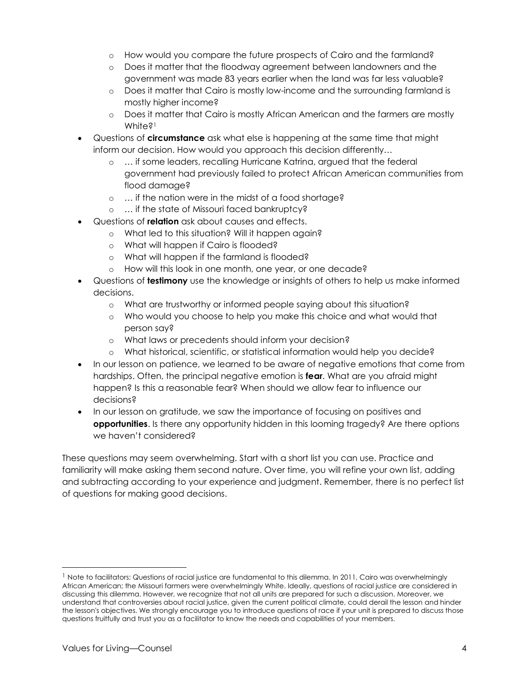- o How would you compare the future prospects of Cairo and the farmland?
- o Does it matter that the floodway agreement between landowners and the government was made 83 years earlier when the land was far less valuable?
- o Does it matter that Cairo is mostly low-income and the surrounding farmland is mostly higher income?
- o Does it matter that Cairo is mostly African American and the farmers are mostly White<sup>21</sup>
- Questions of **circumstance** ask what else is happening at the same time that might inform our decision. How would you approach this decision differently…
	- o … if some leaders, recalling Hurricane Katrina, argued that the federal government had previously failed to protect African American communities from flood damage?
	- o … if the nation were in the midst of a food shortage?
	- o … if the state of Missouri faced bankruptcy?
- Questions of **relation** ask about causes and effects.
	- o What led to this situation? Will it happen again?
	- o What will happen if Cairo is flooded?
	- o What will happen if the farmland is flooded?
	- o How will this look in one month, one year, or one decade?
- Questions of **testimony** use the knowledge or insights of others to help us make informed decisions.
	- o What are trustworthy or informed people saying about this situation?
	- o Who would you choose to help you make this choice and what would that person say?
	- o What laws or precedents should inform your decision?
	- o What historical, scientific, or statistical information would help you decide?
- In our lesson on patience, we learned to be aware of negative emotions that come from hardships. Often, the principal negative emotion is **fear**. What are you afraid might happen? Is this a reasonable fear? When should we allow fear to influence our decisions?
- In our lesson on gratitude, we saw the importance of focusing on positives and **opportunities**. Is there any opportunity hidden in this looming tragedy? Are there options we haven't considered?

These questions may seem overwhelming. Start with a short list you can use. Practice and familiarity will make asking them second nature. Over time, you will refine your own list, adding and subtracting according to your experience and judgment. Remember, there is no perfect list of questions for making good decisions.

<sup>&</sup>lt;sup>1</sup> Note to facilitators: Questions of racial justice are fundamental to this dilemma. In 2011, Cairo was overwhelminaly African American; the Missouri farmers were overwhelmingly White. Ideally, questions of racial justice are considered in discussing this dilemma. However, we recognize that not all units are prepared for such a discussion. Moreover, we understand that controversies about racial justice, given the current political climate, could derail the lesson and hinder the lesson's objectives. We strongly encourage you to introduce questions of race if your unit is prepared to discuss those questions fruitfully and trust you as a facilitator to know the needs and capabilities of your members.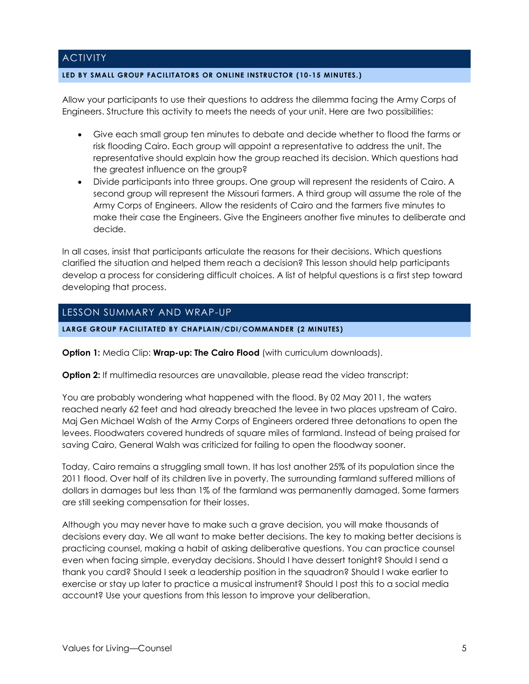## **ACTIVITY**

#### **LED BY SMALL GROUP FACILITATORS OR ONLINE INSTRUCTOR (10-15 MINUTES.)**

Allow your participants to use their questions to address the dilemma facing the Army Corps of Engineers. Structure this activity to meets the needs of your unit. Here are two possibilities:

- Give each small group ten minutes to debate and decide whether to flood the farms or risk flooding Cairo. Each group will appoint a representative to address the unit. The representative should explain how the group reached its decision. Which questions had the greatest influence on the group?
- Divide participants into three groups. One group will represent the residents of Cairo. A second group will represent the Missouri farmers. A third group will assume the role of the Army Corps of Engineers. Allow the residents of Cairo and the farmers five minutes to make their case the Engineers. Give the Engineers another five minutes to deliberate and decide.

In all cases, insist that participants articulate the reasons for their decisions. Which questions clarified the situation and helped them reach a decision? This lesson should help participants develop a process for considering difficult choices. A list of helpful questions is a first step toward developing that process.

## LESSON SUMMARY AND WRAP-UP

#### **LARGE GROUP FACILITATED BY CHAPLAIN/CDI/COMMANDER (2 MINUTES)**

**Option 1:** Media Clip: **Wrap-up: The Cairo Flood** (with curriculum downloads).

**Option 2:** If multimedia resources are unavailable, please read the video transcript:

You are probably wondering what happened with the flood. By 02 May 2011, the waters reached nearly 62 feet and had already breached the levee in two places upstream of Cairo. Maj Gen Michael Walsh of the Army Corps of Engineers ordered three detonations to open the levees. Floodwaters covered hundreds of square miles of farmland. Instead of being praised for saving Cairo, General Walsh was criticized for failing to open the floodway sooner.

Today, Cairo remains a struggling small town. It has lost another 25% of its population since the 2011 flood. Over half of its children live in poverty. The surrounding farmland suffered millions of dollars in damages but less than 1% of the farmland was permanently damaged. Some farmers are still seeking compensation for their losses.

Although you may never have to make such a grave decision, you will make thousands of decisions every day. We all want to make better decisions. The key to making better decisions is practicing counsel, making a habit of asking deliberative questions. You can practice counsel even when facing simple, everyday decisions. Should I have dessert tonight? Should I send a thank you card? Should I seek a leadership position in the squadron? Should I wake earlier to exercise or stay up later to practice a musical instrument? Should I post this to a social media account? Use your questions from this lesson to improve your deliberation.